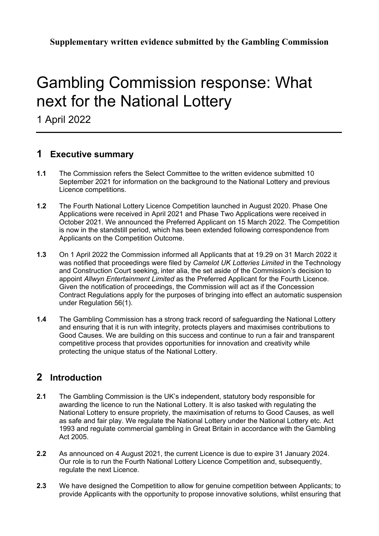**Supplementary written evidence submitted by the Gambling Commission**

# Gambling Commission response: What next for the National Lottery

1 April 2022

## **1 Executive summary**

- **1.1** The Commission refers the Select Committee to the written evidence submitted 10 September 2021 for information on the background to the National Lottery and previous Licence competitions.
- **1.2** The Fourth National Lottery Licence Competition launched in August 2020. Phase One Applications were received in April 2021 and Phase Two Applications were received in October 2021. We announced the Preferred Applicant on 15 March 2022. The Competition is now in the standstill period, which has been extended following correspondence from Applicants on the Competition Outcome.
- **1.3** On 1 April 2022 the Commission informed all Applicants that at 19.29 on 31 March 2022 it was notified that proceedings were filed by *Camelot UK Lotteries Limited* in the Technology and Construction Court seeking, inter alia, the set aside of the Commission's decision to appoint *Allwyn Entertainment Limited* as the Preferred Applicant for the Fourth Licence. Given the notification of proceedings, the Commission will act as if the Concession Contract Regulations apply for the purposes of bringing into effect an automatic suspension under Regulation 56(1).
- **1.4** The Gambling Commission has a strong track record of safeguarding the National Lottery and ensuring that it is run with integrity, protects players and maximises contributions to Good Causes. We are building on this success and continue to run a fair and transparent competitive process that provides opportunities for innovation and creativity while protecting the unique status of the National Lottery.

## **2 Introduction**

- **2.1** The Gambling Commission is the UK's independent, statutory body responsible for awarding the licence to run the National Lottery. It is also tasked with regulating the National Lottery to ensure propriety, the maximisation of returns to Good Causes, as well as safe and fair play. We regulate the National Lottery under the National Lottery etc. Act 1993 and regulate commercial gambling in Great Britain in accordance with the Gambling Act 2005.
- **2.2** As announced on 4 August 2021, the current Licence is due to expire 31 January 2024. Our role is to run the Fourth National Lottery Licence Competition and, subsequently, regulate the next Licence.
- **2.3** We have designed the Competition to allow for genuine competition between Applicants; to provide Applicants with the opportunity to propose innovative solutions, whilst ensuring that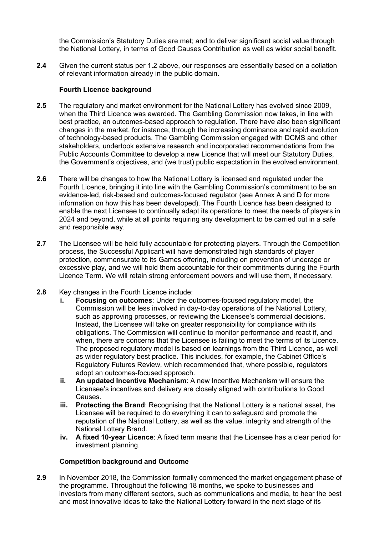the Commission's Statutory Duties are met; and to deliver significant social value through the National Lottery, in terms of Good Causes Contribution as well as wider social benefit.

**2.4** Given the current status per 1.2 above, our responses are essentially based on a collation of relevant information already in the public domain.

#### **Fourth Licence background**

- **2.5** The regulatory and market environment for the National Lottery has evolved since 2009, when the Third Licence was awarded. The Gambling Commission now takes, in line with best practice, an outcomes-based approach to regulation. There have also been significant changes in the market, for instance, through the increasing dominance and rapid evolution of technology-based products. The Gambling Commission engaged with DCMS and other stakeholders, undertook extensive research and incorporated recommendations from the Public Accounts Committee to develop a new Licence that will meet our Statutory Duties, the Government's objectives, and (we trust) public expectation in the evolved environment.
- **2.6** There will be changes to how the National Lottery is licensed and regulated under the Fourth Licence, bringing it into line with the Gambling Commission's commitment to be an evidence-led, risk-based and outcomes-focused regulator (see Annex A and D for more information on how this has been developed). The Fourth Licence has been designed to enable the next Licensee to continually adapt its operations to meet the needs of players in 2024 and beyond, while at all points requiring any development to be carried out in a safe and responsible way.
- **2.7** The Licensee will be held fully accountable for protecting players. Through the Competition process, the Successful Applicant will have demonstrated high standards of player protection, commensurate to its Games offering, including on prevention of underage or excessive play, and we will hold them accountable for their commitments during the Fourth Licence Term. We will retain strong enforcement powers and will use them, if necessary.
- **2.8** Key changes in the Fourth Licence include:
	- **i. Focusing on outcomes**: Under the outcomes-focused regulatory model, the Commission will be less involved in day-to-day operations of the National Lottery, such as approving processes, or reviewing the Licensee's commercial decisions. Instead, the Licensee will take on greater responsibility for compliance with its obligations. The Commission will continue to monitor performance and react if, and when, there are concerns that the Licensee is failing to meet the terms of its Licence. The proposed regulatory model is based on learnings from the Third Licence, as well as wider regulatory best practice. This includes, for example, the Cabinet Office's Regulatory Futures Review, which recommended that, where possible, regulators adopt an outcomes-focused approach.
	- **ii. An updated Incentive Mechanism**: A new Incentive Mechanism will ensure the Licensee's incentives and delivery are closely aligned with contributions to Good Causes.
	- **iii. Protecting the Brand**: Recognising that the National Lottery is a national asset, the Licensee will be required to do everything it can to safeguard and promote the reputation of the National Lottery, as well as the value, integrity and strength of the National Lottery Brand.
	- **iv. A fixed 10-year Licence**: A fixed term means that the Licensee has a clear period for investment planning.

#### **Competition background and Outcome**

**2.9** In November 2018, the Commission formally commenced the market engagement phase of the programme. Throughout the following 18 months, we spoke to businesses and investors from many different sectors, such as communications and media, to hear the best and most innovative ideas to take the National Lottery forward in the next stage of its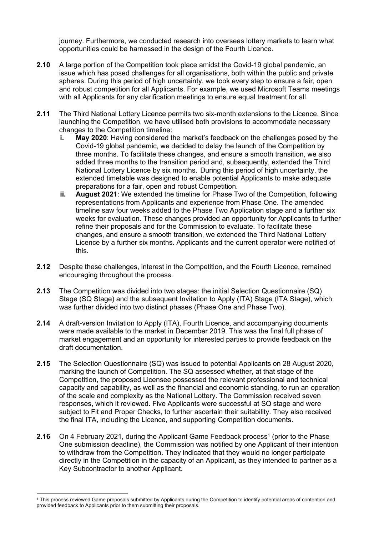journey. Furthermore, we conducted research into overseas lottery markets to learn what opportunities could be harnessed in the design of the Fourth Licence.

- **2.10** A large portion of the Competition took place amidst the Covid-19 global pandemic, an issue which has posed challenges for all organisations, both within the public and private spheres. During this period of high uncertainty, we took every step to ensure a fair, open and robust competition for all Applicants. For example, we used Microsoft Teams meetings with all Applicants for any clarification meetings to ensure equal treatment for all.
- **2.11** The Third National Lottery Licence permits two six-month extensions to the Licence. Since launching the Competition, we have utilised both provisions to accommodate necessary changes to the Competition timeline:
	- **i. May 2020**: Having considered the market's feedback on the challenges posed by the Covid-19 global pandemic, we decided to delay the launch of the Competition by three months. To facilitate these changes, and ensure a smooth transition, we also added three months to the transition period and, subsequently, extended the Third National Lottery Licence by six months. During this period of high uncertainty, the extended timetable was designed to enable potential Applicants to make adequate preparations for a fair, open and robust Competition.
	- **ii. August 2021**: We extended the timeline for Phase Two of the Competition, following representations from Applicants and experience from Phase One. The amended timeline saw four weeks added to the Phase Two Application stage and a further six weeks for evaluation. These changes provided an opportunity for Applicants to further refine their proposals and for the Commission to evaluate. To facilitate these changes, and ensure a smooth transition, we extended the Third National Lottery Licence by a further six months. Applicants and the current operator were notified of this.
- **2.12** Despite these challenges, interest in the Competition, and the Fourth Licence, remained encouraging throughout the process.
- **2.13** The Competition was divided into two stages: the initial Selection Questionnaire (SQ) Stage (SQ Stage) and the subsequent Invitation to Apply (ITA) Stage (ITA Stage), which was further divided into two distinct phases (Phase One and Phase Two).
- **2.14** A draft-version Invitation to Apply (ITA), Fourth Licence, and accompanying documents were made available to the market in December 2019. This was the final full phase of market engagement and an opportunity for interested parties to provide feedback on the draft documentation.
- **2.15** The Selection Questionnaire (SQ) was issued to potential Applicants on 28 August 2020, marking the launch of Competition. The SQ assessed whether, at that stage of the Competition, the proposed Licensee possessed the relevant professional and technical capacity and capability, as well as the financial and economic standing, to run an operation of the scale and complexity as the National Lottery. The Commission received seven responses, which it reviewed. Five Applicants were successful at SQ stage and were subject to Fit and Proper Checks, to further ascertain their suitability. They also received the final ITA, including the Licence, and supporting Competition documents.
- **2.16** On 4 February 2021, during the Applicant Game Feedback process<sup>1</sup> (prior to the Phase One submission deadline), the Commission was notified by one Applicant of their intention to withdraw from the Competition. They indicated that they would no longer participate directly in the Competition in the capacity of an Applicant, as they intended to partner as a Key Subcontractor to another Applicant.

<sup>1</sup> This process reviewed Game proposals submitted by Applicants during the Competition to identify potential areas of contention and provided feedback to Applicants prior to them submitting their proposals.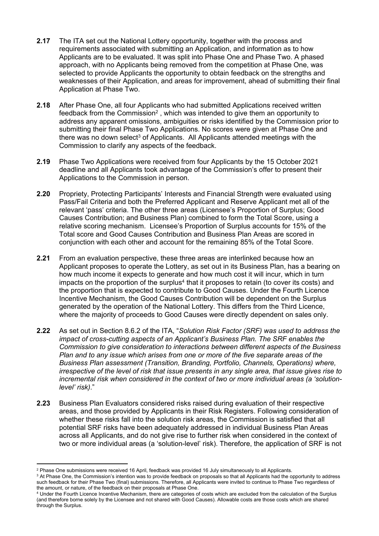- **2.17** The ITA set out the National Lottery opportunity, together with the process and requirements associated with submitting an Application, and information as to how Applicants are to be evaluated. It was split into Phase One and Phase Two. A phased approach, with no Applicants being removed from the competition at Phase One, was selected to provide Applicants the opportunity to obtain feedback on the strengths and weaknesses of their Application, and areas for improvement, ahead of submitting their final Application at Phase Two.
- **2.18** After Phase One, all four Applicants who had submitted Applications received written feedback from the Commission<sup>2</sup>, which was intended to give them an opportunity to address any apparent omissions, ambiguities or risks identified by the Commission prior to submitting their final Phase Two Applications. No scores were given at Phase One and there was no down select<sup>3</sup> of Applicants. All Applicants attended meetings with the Commission to clarify any aspects of the feedback.
- **2.19** Phase Two Applications were received from four Applicants by the 15 October 2021 deadline and all Applicants took advantage of the Commission's offer to present their Applications to the Commission in person.
- **2.20** Propriety, Protecting Participants' Interests and Financial Strength were evaluated using Pass/Fail Criteria and both the Preferred Applicant and Reserve Applicant met all of the relevant 'pass' criteria. The other three areas (Licensee's Proportion of Surplus; Good Causes Contribution; and Business Plan) combined to form the Total Score, using a relative scoring mechanism. Licensee's Proportion of Surplus accounts for 15% of the Total score and Good Causes Contribution and Business Plan Areas are scored in conjunction with each other and account for the remaining 85% of the Total Score.
- **2.21** From an evaluation perspective, these three areas are interlinked because how an Applicant proposes to operate the Lottery, as set out in its Business Plan, has a bearing on how much income it expects to generate and how much cost it will incur, which in turn impacts on the proportion of the surplus<sup>4</sup> that it proposes to retain (to cover its costs) and the proportion that is expected to contribute to Good Causes. Under the Fourth Licence Incentive Mechanism, the Good Causes Contribution will be dependent on the Surplus generated by the operation of the National Lottery. This differs from the Third Licence, where the majority of proceeds to Good Causes were directly dependent on sales only.
- **2.22** As set out in Section 8.6.2 of the ITA, "*Solution Risk Factor (SRF) was used to address the impact of cross-cutting aspects of an Applicant's Business Plan. The SRF enables the Commission to give consideration to interactions between different aspects of the Business Plan and to any issue which arises from one or more of the five separate areas of the Business Plan assessment (Transition, Branding, Portfolio, Channels, Operations) where, irrespective of the level of risk that issue presents in any single area, that issue gives rise to incremental risk when considered in the context of two or more individual areas (a 'solutionlevel' risk)*."
- **2.23** Business Plan Evaluators considered risks raised during evaluation of their respective areas, and those provided by Applicants in their Risk Registers. Following consideration of whether these risks fall into the solution risk areas, the Commission is satisfied that all potential SRF risks have been adequately addressed in individual Business Plan Areas across all Applicants, and do not give rise to further risk when considered in the context of two or more individual areas (a 'solution-level' risk). Therefore, the application of SRF is not

<sup>2</sup> Phase One submissions were received 16 April, feedback was provided 16 July simultaneously to all Applicants.

<sup>&</sup>lt;sup>3</sup> At Phase One, the Commission's intention was to provide feedback on proposals so that all Applicants had the opportunity to address such feedback for their Phase Two (final) submissions. Therefore, all Applicants were invited to continue to Phase Two regardless of the amount, or nature, of the feedback on their proposals at Phase One.

<sup>4</sup> Under the Fourth Licence Incentive Mechanism, there are categories of costs which are excluded from the calculation of the Surplus (and therefore borne solely by the Licensee and not shared with Good Causes). Allowable costs are those costs which are shared through the Surplus.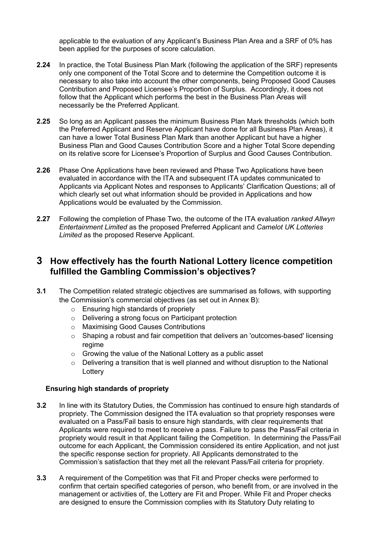applicable to the evaluation of any Applicant's Business Plan Area and a SRF of 0% has been applied for the purposes of score calculation.

- **2.24** In practice, the Total Business Plan Mark (following the application of the SRF) represents only one component of the Total Score and to determine the Competition outcome it is necessary to also take into account the other components, being Proposed Good Causes Contribution and Proposed Licensee's Proportion of Surplus. Accordingly, it does not follow that the Applicant which performs the best in the Business Plan Areas will necessarily be the Preferred Applicant.
- **2.25** So long as an Applicant passes the minimum Business Plan Mark thresholds (which both the Preferred Applicant and Reserve Applicant have done for all Business Plan Areas), it can have a lower Total Business Plan Mark than another Applicant but have a higher Business Plan and Good Causes Contribution Score and a higher Total Score depending on its relative score for Licensee's Proportion of Surplus and Good Causes Contribution.
- **2.26** Phase One Applications have been reviewed and Phase Two Applications have been evaluated in accordance with the ITA and subsequent ITA updates communicated to Applicants via Applicant Notes and responses to Applicants' Clarification Questions; all of which clearly set out what information should be provided in Applications and how Applications would be evaluated by the Commission.
- **2.27** Following the completion of Phase Two, the outcome of the ITA evaluation *ranked Allwyn Entertainment Limited* as the proposed Preferred Applicant and *Camelot UK Lotteries Limited* as the proposed Reserve Applicant.

### **3 How effectively has the fourth National Lottery licence competition fulfilled the Gambling Commission's objectives?**

- **3.1** The Competition related strategic objectives are summarised as follows, with supporting the Commission's commercial objectives (as set out in Annex B):
	- o Ensuring high standards of propriety
	- o Delivering a strong focus on Participant protection
	- o Maximising Good Causes Contributions
	- $\circ$  Shaping a robust and fair competition that delivers an 'outcomes-based' licensing regime
	- o Growing the value of the National Lottery as a public asset
	- $\circ$  Delivering a transition that is well planned and without disruption to the National **Lottery**

#### **Ensuring high standards of propriety**

- **3.2** In line with its Statutory Duties, the Commission has continued to ensure high standards of propriety. The Commission designed the ITA evaluation so that propriety responses were evaluated on a Pass/Fail basis to ensure high standards, with clear requirements that Applicants were required to meet to receive a pass. Failure to pass the Pass/Fail criteria in propriety would result in that Applicant failing the Competition. In determining the Pass/Fail outcome for each Applicant, the Commission considered its entire Application, and not just the specific response section for propriety. All Applicants demonstrated to the Commission's satisfaction that they met all the relevant Pass/Fail criteria for propriety.
- **3.3** A requirement of the Competition was that Fit and Proper checks were performed to confirm that certain specified categories of person, who benefit from, or are involved in the management or activities of, the Lottery are Fit and Proper. While Fit and Proper checks are designed to ensure the Commission complies with its Statutory Duty relating to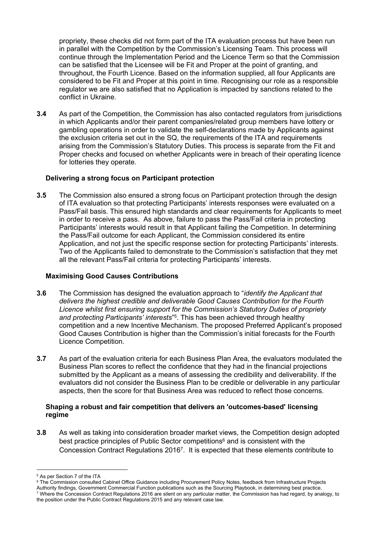propriety, these checks did not form part of the ITA evaluation process but have been run in parallel with the Competition by the Commission's Licensing Team. This process will continue through the Implementation Period and the Licence Term so that the Commission can be satisfied that the Licensee will be Fit and Proper at the point of granting, and throughout, the Fourth Licence. Based on the information supplied, all four Applicants are considered to be Fit and Proper at this point in time. Recognising our role as a responsible regulator we are also satisfied that no Application is impacted by sanctions related to the conflict in Ukraine.

**3.4** As part of the Competition, the Commission has also contacted regulators from jurisdictions in which Applicants and/or their parent companies/related group members have lottery or gambling operations in order to validate the self-declarations made by Applicants against the exclusion criteria set out in the SQ, the requirements of the ITA and requirements arising from the Commission's Statutory Duties. This process is separate from the Fit and Proper checks and focused on whether Applicants were in breach of their operating licence for lotteries they operate.

#### **Delivering a strong focus on Participant protection**

**3.5** The Commission also ensured a strong focus on Participant protection through the design of ITA evaluation so that protecting Participants' interests responses were evaluated on a Pass/Fail basis. This ensured high standards and clear requirements for Applicants to meet in order to receive a pass. As above, failure to pass the Pass/Fail criteria in protecting Participants' interests would result in that Applicant failing the Competition. In determining the Pass/Fail outcome for each Applicant, the Commission considered its entire Application, and not just the specific response section for protecting Participants' interests. Two of the Applicants failed to demonstrate to the Commission's satisfaction that they met all the relevant Pass/Fail criteria for protecting Participants' interests.

#### **Maximising Good Causes Contributions**

- **3.6** The Commission has designed the evaluation approach to "*identify the Applicant that delivers the highest credible and deliverable Good Causes Contribution for the Fourth Licence whilst first ensuring support for the Commission's Statutory Duties of propriety and protecting Participants' interests*" 5 . This has been achieved through healthy competition and a new Incentive Mechanism. The proposed Preferred Applicant's proposed Good Causes Contribution is higher than the Commission's initial forecasts for the Fourth Licence Competition.
- **3.7** As part of the evaluation criteria for each Business Plan Area, the evaluators modulated the Business Plan scores to reflect the confidence that they had in the financial projections submitted by the Applicant as a means of assessing the credibility and deliverability. If the evaluators did not consider the Business Plan to be credible or deliverable in any particular aspects, then the score for that Business Area was reduced to reflect those concerns.

#### **Shaping a robust and fair competition that delivers an 'outcomes-based' licensing regime**

**3.8** As well as taking into consideration broader market views, the Competition design adopted best practice principles of Public Sector competitions<sup>6</sup> and is consistent with the Concession Contract Regulations 2016<sup>7</sup> . It is expected that these elements contribute to

<sup>5</sup> As per Section 7 of the ITA

<sup>&</sup>lt;sup>6</sup> The Commission consulted Cabinet Office Guidance including Procurement Policy Notes, feedback from Infrastructure Projects

Authority findings, Government Commercial Function publications such as the Sourcing Playbook, in determining best practice. <sup>7</sup> Where the Concession Contract Regulations 2016 are silent on any particular matter, the Commission has had regard, by analogy, to the position under the Public Contract Regulations 2015 and any relevant case law.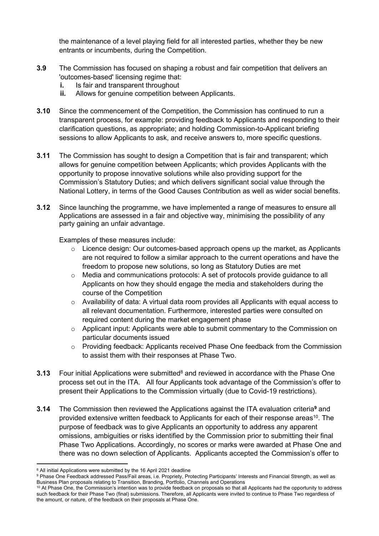the maintenance of a level playing field for all interested parties, whether they be new entrants or incumbents, during the Competition.

- **3.9** The Commission has focused on shaping a robust and fair competition that delivers an 'outcomes-based' licensing regime that:
	- **i.** Is fair and transparent throughout
	- **ii.** Allows for genuine competition between Applicants.
- **3.10** Since the commencement of the Competition, the Commission has continued to run a transparent process, for example: providing feedback to Applicants and responding to their clarification questions, as appropriate; and holding Commission-to-Applicant briefing sessions to allow Applicants to ask, and receive answers to, more specific questions.
- **3.11** The Commission has sought to design a Competition that is fair and transparent; which allows for genuine competition between Applicants; which provides Applicants with the opportunity to propose innovative solutions while also providing support for the Commission's Statutory Duties; and which delivers significant social value through the National Lottery, in terms of the Good Causes Contribution as well as wider social benefits.
- **3.12** Since launching the programme, we have implemented a range of measures to ensure all Applications are assessed in a fair and objective way, minimising the possibility of any party gaining an unfair advantage.

Examples of these measures include:

- Licence design: Our outcomes-based approach opens up the market, as Applicants are not required to follow a similar approach to the current operations and have the freedom to propose new solutions, so long as Statutory Duties are met
- $\circ$  Media and communications protocols: A set of protocols provide guidance to all Applicants on how they should engage the media and stakeholders during the course of the Competition
- $\circ$  Availability of data: A virtual data room provides all Applicants with equal access to all relevant documentation. Furthermore, interested parties were consulted on required content during the market engagement phase
- $\circ$  Applicant input: Applicants were able to submit commentary to the Commission on particular documents issued
- $\circ$  Providing feedback: Applicants received Phase One feedback from the Commission to assist them with their responses at Phase Two.
- **3.13** Four initial Applications were submitted<sup>8</sup> and reviewed in accordance with the Phase One process set out in the ITA. All four Applicants took advantage of the Commission's offer to present their Applications to the Commission virtually (due to Covid-19 restrictions).
- **3.14** The Commission then reviewed the Applications against the ITA evaluation criteria**<sup>9</sup>** and provided extensive written feedback to Applicants for each of their response areas<sup>10</sup>. The purpose of feedback was to give Applicants an opportunity to address any apparent omissions, ambiguities or risks identified by the Commission prior to submitting their final Phase Two Applications. Accordingly, no scores or marks were awarded at Phase One and there was no down selection of Applicants. Applicants accepted the Commission's offer to

<sup>8</sup> All initial Applications were submitted by the 16 April 2021 deadline

<sup>9</sup> Phase One Feedback addressed Pass/Fail areas, i.e. Propriety, Protecting Participants' Interests and Financial Strength, as well as Business Plan proposals relating to Transition, Branding, Portfolio, Channels and Operations

<sup>&</sup>lt;sup>10</sup> At Phase One, the Commission's intention was to provide feedback on proposals so that all Applicants had the opportunity to address such feedback for their Phase Two (final) submissions. Therefore, all Applicants were invited to continue to Phase Two regardless of the amount, or nature, of the feedback on their proposals at Phase One.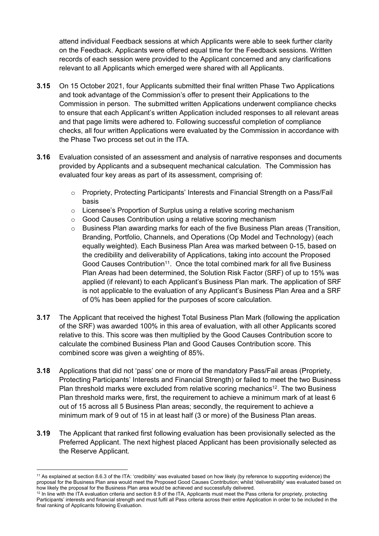attend individual Feedback sessions at which Applicants were able to seek further clarity on the Feedback. Applicants were offered equal time for the Feedback sessions. Written records of each session were provided to the Applicant concerned and any clarifications relevant to all Applicants which emerged were shared with all Applicants.

- **3.15** On 15 October 2021, four Applicants submitted their final written Phase Two Applications and took advantage of the Commission's offer to present their Applications to the Commission in person. The submitted written Applications underwent compliance checks to ensure that each Applicant's written Application included responses to all relevant areas and that page limits were adhered to. Following successful completion of compliance checks, all four written Applications were evaluated by the Commission in accordance with the Phase Two process set out in the ITA.
- **3.16** Evaluation consisted of an assessment and analysis of narrative responses and documents provided by Applicants and a subsequent mechanical calculation. The Commission has evaluated four key areas as part of its assessment, comprising of:
	- $\circ$  Propriety, Protecting Participants' Interests and Financial Strength on a Pass/Fail basis
	- $\circ$  Licensee's Proportion of Surplus using a relative scoring mechanism
	- o Good Causes Contribution using a relative scoring mechanism
	- $\circ$  Business Plan awarding marks for each of the five Business Plan areas (Transition, Branding, Portfolio, Channels, and Operations (Op Model and Technology) (each equally weighted). Each Business Plan Area was marked between 0-15, based on the credibility and deliverability of Applications, taking into account the Proposed Good Causes Contribution<sup>11</sup>. Once the total combined mark for all five Business Plan Areas had been determined, the Solution Risk Factor (SRF) of up to 15% was applied (if relevant) to each Applicant's Business Plan mark. The application of SRF is not applicable to the evaluation of any Applicant's Business Plan Area and a SRF of 0% has been applied for the purposes of score calculation.
- **3.17** The Applicant that received the highest Total Business Plan Mark (following the application of the SRF) was awarded 100% in this area of evaluation, with all other Applicants scored relative to this. This score was then multiplied by the Good Causes Contribution score to calculate the combined Business Plan and Good Causes Contribution score. This combined score was given a weighting of 85%.
- **3.18** Applications that did not 'pass' one or more of the mandatory Pass/Fail areas (Propriety, Protecting Participants' Interests and Financial Strength) or failed to meet the two Business Plan threshold marks were excluded from relative scoring mechanics<sup>12</sup>. The two Business Plan threshold marks were, first, the requirement to achieve a minimum mark of at least 6 out of 15 across all 5 Business Plan areas; secondly, the requirement to achieve a minimum mark of 9 out of 15 in at least half (3 or more) of the Business Plan areas.
- **3.19** The Applicant that ranked first following evaluation has been provisionally selected as the Preferred Applicant. The next highest placed Applicant has been provisionally selected as the Reserve Applicant.

<sup>11</sup> As explained at section 8.6.3 of the ITA: 'credibility' was evaluated based on how likely (by reference to supporting evidence) the proposal for the Business Plan area would meet the Proposed Good Causes Contribution; whilst 'deliverability' was evaluated based on how likely the proposal for the Business Plan area would be achieved and successfully delivered.

<sup>12</sup> In line with the ITA evaluation criteria and section 8.9 of the ITA, Applicants must meet the Pass criteria for propriety, protecting Participants' interests and financial strength and must fulfil all Pass criteria across their entire Application in order to be included in the final ranking of Applicants following Evaluation.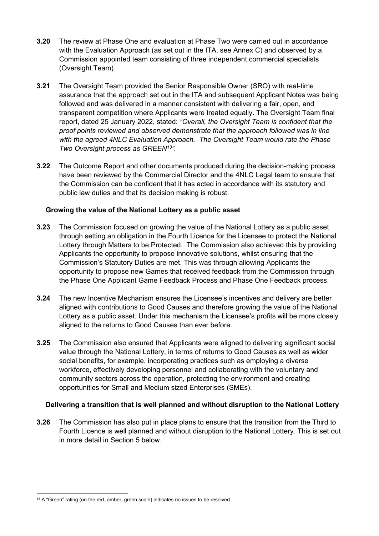- **3.20** The review at Phase One and evaluation at Phase Two were carried out in accordance with the Evaluation Approach (as set out in the ITA, see Annex C) and observed by a Commission appointed team consisting of three independent commercial specialists (Oversight Team).
- **3.21** The Oversight Team provided the Senior Responsible Owner (SRO) with real-time assurance that the approach set out in the ITA and subsequent Applicant Notes was being followed and was delivered in a manner consistent with delivering a fair, open, and transparent competition where Applicants were treated equally. The Oversight Team final report, dated 25 January 2022, stated: *"Overall, the Oversight Team is confident that the proof points reviewed and observed demonstrate that the approach followed was in line with the agreed 4NLC Evaluation Approach. The Oversight Team would rate the Phase Two Oversight process as GREEN<sup>13</sup>".*
- **3.22** The Outcome Report and other documents produced during the decision-making process have been reviewed by the Commercial Director and the 4NLC Legal team to ensure that the Commission can be confident that it has acted in accordance with its statutory and public law duties and that its decision making is robust.

#### **Growing the value of the National Lottery as a public asset**

- **3.23** The Commission focused on growing the value of the National Lottery as a public asset through setting an obligation in the Fourth Licence for the Licensee to protect the National Lottery through Matters to be Protected. The Commission also achieved this by providing Applicants the opportunity to propose innovative solutions, whilst ensuring that the Commission's Statutory Duties are met. This was through allowing Applicants the opportunity to propose new Games that received feedback from the Commission through the Phase One Applicant Game Feedback Process and Phase One Feedback process.
- **3.24** The new Incentive Mechanism ensures the Licensee's incentives and delivery are better aligned with contributions to Good Causes and therefore growing the value of the National Lottery as a public asset. Under this mechanism the Licensee's profits will be more closely aligned to the returns to Good Causes than ever before.
- **3.25** The Commission also ensured that Applicants were aligned to delivering significant social value through the National Lottery, in terms of returns to Good Causes as well as wider social benefits, for example, incorporating practices such as employing a diverse workforce, effectively developing personnel and collaborating with the voluntary and community sectors across the operation, protecting the environment and creating opportunities for Small and Medium sized Enterprises (SMEs).

#### **Delivering a transition that is well planned and without disruption to the National Lottery**

**3.26** The Commission has also put in place plans to ensure that the transition from the Third to Fourth Licence is well planned and without disruption to the National Lottery. This is set out in more detail in Section 5 below.

<sup>&</sup>lt;sup>13</sup> A "Green" rating (on the red, amber, green scale) indicates no issues to be resolved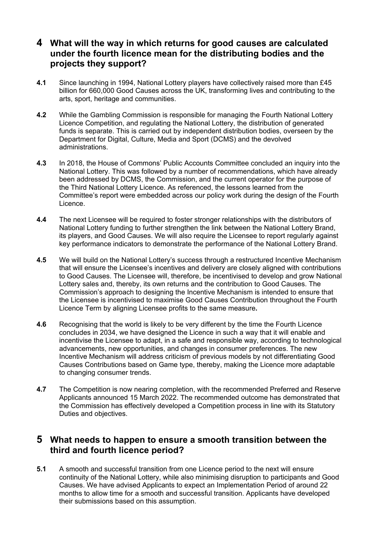## **4 What will the way in which returns for good causes are calculated under the fourth licence mean for the distributing bodies and the projects they support?**

- **4.1** Since launching in 1994, National Lottery players have collectively raised more than £45 billion for 660,000 Good Causes across the UK, transforming lives and contributing to the arts, sport, heritage and communities.
- **4.2** While the Gambling Commission is responsible for managing the Fourth National Lottery Licence Competition, and regulating the National Lottery, the distribution of generated funds is separate. This is carried out by independent distribution bodies, overseen by the Department for Digital, Culture, Media and Sport (DCMS) and the devolved administrations.
- **4.3** In 2018, the House of Commons' Public Accounts Committee concluded an inquiry into the National Lottery. This was followed by a number of recommendations, which have already been addressed by DCMS, the Commission, and the current operator for the purpose of the Third National Lottery Licence. As referenced, the lessons learned from the Committee's report were embedded across our policy work during the design of the Fourth Licence.
- **4.4** The next Licensee will be required to foster stronger relationships with the distributors of National Lottery funding to further strengthen the link between the National Lottery Brand, its players, and Good Causes. We will also require the Licensee to report regularly against key performance indicators to demonstrate the performance of the National Lottery Brand.
- **4.5** We will build on the National Lottery's success through a restructured Incentive Mechanism that will ensure the Licensee's incentives and delivery are closely aligned with contributions to Good Causes. The Licensee will, therefore, be incentivised to develop and grow National Lottery sales and, thereby, its own returns and the contribution to Good Causes. The Commission's approach to designing the Incentive Mechanism is intended to ensure that the Licensee is incentivised to maximise Good Causes Contribution throughout the Fourth Licence Term by aligning Licensee profits to the same measure**.**
- **4.6** Recognising that the world is likely to be very different by the time the Fourth Licence concludes in 2034, we have designed the Licence in such a way that it will enable and incentivise the Licensee to adapt, in a safe and responsible way, according to technological advancements, new opportunities, and changes in consumer preferences. The new Incentive Mechanism will address criticism of previous models by not differentiating Good Causes Contributions based on Game type, thereby, making the Licence more adaptable to changing consumer trends.
- **4.7** The Competition is now nearing completion, with the recommended Preferred and Reserve Applicants announced 15 March 2022. The recommended outcome has demonstrated that the Commission has effectively developed a Competition process in line with its Statutory Duties and objectives.

### **5 What needs to happen to ensure a smooth transition between the third and fourth licence period?**

**5.1** A smooth and successful transition from one Licence period to the next will ensure continuity of the National Lottery, while also minimising disruption to participants and Good Causes. We have advised Applicants to expect an Implementation Period of around 22 months to allow time for a smooth and successful transition. Applicants have developed their submissions based on this assumption.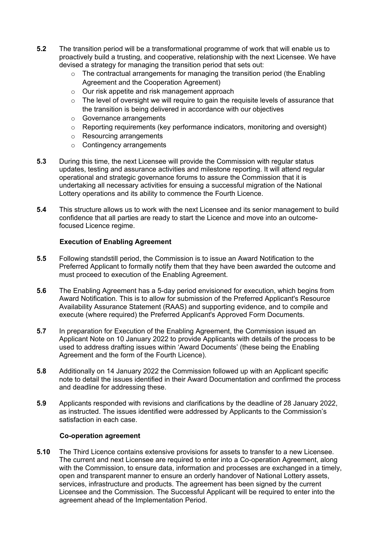- **5.2** The transition period will be a transformational programme of work that will enable us to proactively build a trusting, and cooperative, relationship with the next Licensee. We have devised a strategy for managing the transition period that sets out:
	- $\circ$  The contractual arrangements for managing the transition period (the Enabling Agreement and the Cooperation Agreement)
	- o Our risk appetite and risk management approach
	- $\circ$  The level of oversight we will require to gain the requisite levels of assurance that the transition is being delivered in accordance with our objectives
	- o Governance arrangements
	- $\circ$  Reporting requirements (key performance indicators, monitoring and oversight)
	- o Resourcing arrangements
	- o Contingency arrangements
- **5.3** During this time, the next Licensee will provide the Commission with regular status updates, testing and assurance activities and milestone reporting. It will attend regular operational and strategic governance forums to assure the Commission that it is undertaking all necessary activities for ensuing a successful migration of the National Lottery operations and its ability to commence the Fourth Licence.
- **5.4** This structure allows us to work with the next Licensee and its senior management to build confidence that all parties are ready to start the Licence and move into an outcomefocused Licence regime.

#### **Execution of Enabling Agreement**

- **5.5** Following standstill period, the Commission is to issue an Award Notification to the Preferred Applicant to formally notify them that they have been awarded the outcome and must proceed to execution of the Enabling Agreement.
- **5.6** The Enabling Agreement has a 5-day period envisioned for execution, which begins from Award Notification. This is to allow for submission of the Preferred Applicant's Resource Availability Assurance Statement (RAAS) and supporting evidence, and to compile and execute (where required) the Preferred Applicant's Approved Form Documents.
- **5.7** In preparation for Execution of the Enabling Agreement, the Commission issued an Applicant Note on 10 January 2022 to provide Applicants with details of the process to be used to address drafting issues within 'Award Documents' (these being the Enabling Agreement and the form of the Fourth Licence).
- **5.8** Additionally on 14 January 2022 the Commission followed up with an Applicant specific note to detail the issues identified in their Award Documentation and confirmed the process and deadline for addressing these.
- **5.9** Applicants responded with revisions and clarifications by the deadline of 28 January 2022, as instructed. The issues identified were addressed by Applicants to the Commission's satisfaction in each case.

#### **Co-operation agreement**

**5.10** The Third Licence contains extensive provisions for assets to transfer to a new Licensee. The current and next Licensee are required to enter into a Co-operation Agreement, along with the Commission, to ensure data, information and processes are exchanged in a timely, open and transparent manner to ensure an orderly handover of National Lottery assets, services, infrastructure and products. The agreement has been signed by the current Licensee and the Commission. The Successful Applicant will be required to enter into the agreement ahead of the Implementation Period.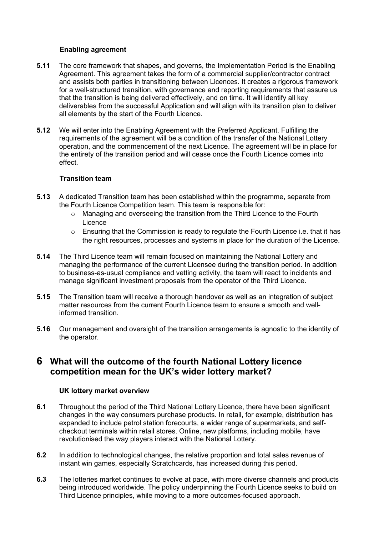#### **Enabling agreement**

- **5.11** The core framework that shapes, and governs, the Implementation Period is the Enabling Agreement. This agreement takes the form of a commercial supplier/contractor contract and assists both parties in transitioning between Licences. It creates a rigorous framework for a well-structured transition, with governance and reporting requirements that assure us that the transition is being delivered effectively, and on time. It will identify all key deliverables from the successful Application and will align with its transition plan to deliver all elements by the start of the Fourth Licence.
- **5.12** We will enter into the Enabling Agreement with the Preferred Applicant. Fulfilling the requirements of the agreement will be a condition of the transfer of the National Lottery operation, and the commencement of the next Licence. The agreement will be in place for the entirety of the transition period and will cease once the Fourth Licence comes into effect.

#### **Transition team**

- **5.13** A dedicated Transition team has been established within the programme, separate from the Fourth Licence Competition team. This team is responsible for:
	- o Managing and overseeing the transition from the Third Licence to the Fourth Licence
	- o Ensuring that the Commission is ready to regulate the Fourth Licence i.e. that it has the right resources, processes and systems in place for the duration of the Licence.
- **5.14** The Third Licence team will remain focused on maintaining the National Lottery and managing the performance of the current Licensee during the transition period. In addition to business-as-usual compliance and vetting activity, the team will react to incidents and manage significant investment proposals from the operator of the Third Licence.
- **5.15** The Transition team will receive a thorough handover as well as an integration of subject matter resources from the current Fourth Licence team to ensure a smooth and wellinformed transition.
- **5.16** Our management and oversight of the transition arrangements is agnostic to the identity of the operator.

## **6 What will the outcome of the fourth National Lottery licence competition mean for the UK's wider lottery market?**

#### **UK lottery market overview**

- **6.1** Throughout the period of the Third National Lottery Licence, there have been significant changes in the way consumers purchase products. In retail, for example, distribution has expanded to include petrol station forecourts, a wider range of supermarkets, and selfcheckout terminals within retail stores. Online, new platforms, including mobile, have revolutionised the way players interact with the National Lottery.
- **6.2** In addition to technological changes, the relative proportion and total sales revenue of instant win games, especially Scratchcards, has increased during this period.
- **6.3** The lotteries market continues to evolve at pace, with more diverse channels and products being introduced worldwide. The policy underpinning the Fourth Licence seeks to build on Third Licence principles, while moving to a more outcomes-focused approach.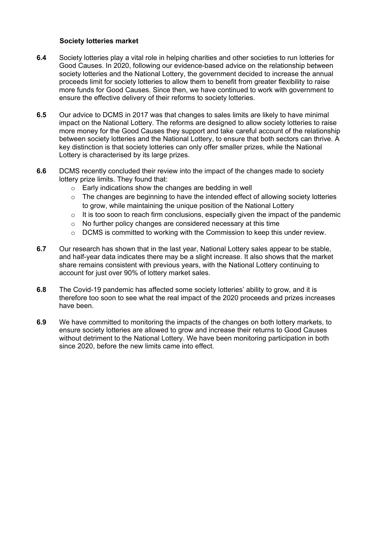#### **Society lotteries market**

- **6.4** Society lotteries play a vital role in helping charities and other societies to run lotteries for Good Causes. In 2020, following our evidence-based advice on the relationship between society lotteries and the National Lottery, the government decided to increase the annual proceeds limit for society lotteries to allow them to benefit from greater flexibility to raise more funds for Good Causes. Since then, we have continued to work with government to ensure the effective delivery of their reforms to society lotteries.
- **6.5** Our advice to DCMS in 2017 was that changes to sales limits are likely to have minimal impact on the National Lottery. The reforms are designed to allow society lotteries to raise more money for the Good Causes they support and take careful account of the relationship between society lotteries and the National Lottery, to ensure that both sectors can thrive. A key distinction is that society lotteries can only offer smaller prizes, while the National Lottery is characterised by its large prizes.
- **6.6** DCMS recently concluded their review into the impact of the changes made to society lottery prize limits. They found that:
	- o Early indications show the changes are bedding in well
	- $\circ$  The changes are beginning to have the intended effect of allowing society lotteries to grow, while maintaining the unique position of the National Lottery
	- $\circ$  It is too soon to reach firm conclusions, especially given the impact of the pandemic
	- o No further policy changes are considered necessary at this time
	- $\circ$  DCMS is committed to working with the Commission to keep this under review.
- **6.7** Our research has shown that in the last year, National Lottery sales appear to be stable, and half-year data indicates there may be a slight increase. It also shows that the market share remains consistent with previous years, with the National Lottery continuing to account for just over 90% of lottery market sales.
- **6.8** The Covid-19 pandemic has affected some society lotteries' ability to grow, and it is therefore too soon to see what the real impact of the 2020 proceeds and prizes increases have been.
- **6.9** We have committed to monitoring the impacts of the changes on both lottery markets, to ensure society lotteries are allowed to grow and increase their returns to Good Causes without detriment to the National Lottery. We have been monitoring participation in both since 2020, before the new limits came into effect.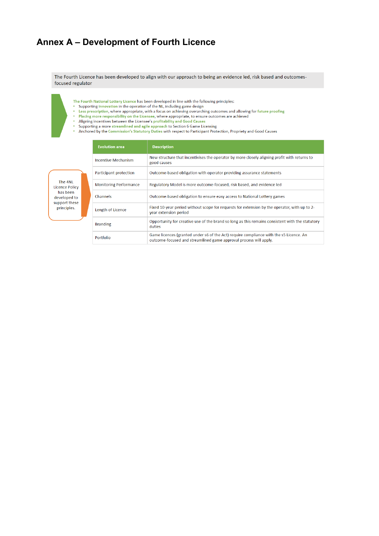## **Annex A – Development of Fourth Licence**

The Fourth Licence has been developed to align with our approach to being an evidence led, risk based and outcomesfocused regulator

- 
- 
- The Fourth National Lottery Licence has been developed in line with the following principles:<br>• Supporting innovation in the operation of the NL, including game design<br>• Less prescription, where appropriate, with a focus o
	- $\epsilon$
- $\ddot{\phantom{a}}$
- The angle intervention of the Licensee's profitability and Good Causes<br>Supporting a more streamlined and agile approach to Section 6 Game Licensing<br>Anchored by the Commission's Statutory Duties with respect to Participant

| The 4NL        |
|----------------|
| Licence Policy |
| has been       |
| developed to   |
| support these  |
| principles.    |
|                |

| <b>Evolution area</b>         | <b>Description</b>                                                                                                                                          |
|-------------------------------|-------------------------------------------------------------------------------------------------------------------------------------------------------------|
| Incentive Mechanism           | New structure that incentivises the operator by more closely aligning profit with returns to<br>good causes                                                 |
| Participant protection        | Outcome-based obligation with operator providing assurance statements                                                                                       |
| <b>Monitoring Performance</b> | Regulatory Model is more outcome-focused, risk based, and evidence led                                                                                      |
| Channels                      | Outcome-based obligation to ensure easy access to National Lottery games                                                                                    |
| Length of Licence             | Fixed 10-year period without scope for requests for extension by the operator, with up to 2-<br>year extension period                                       |
| <b>Branding</b>               | Opportunity for creative use of the brand so long as this remains consistent with the statutory<br>duties                                                   |
| Portfolio                     | Game licences (granted under s6 of the Act) require compliance with the s5 Licence. An<br>outcome-focused and streamlined game approval process will apply. |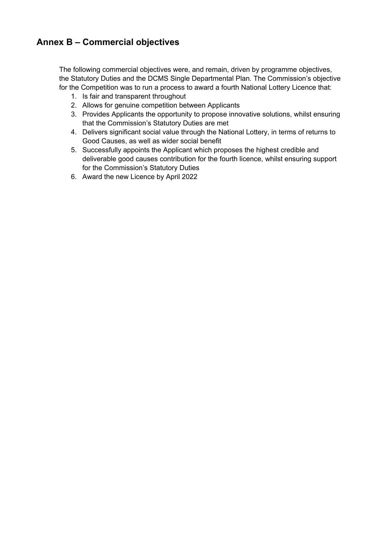## **Annex B – Commercial objectives**

The following commercial objectives were, and remain, driven by programme objectives, the Statutory Duties and the DCMS Single Departmental Plan. The Commission's objective for the Competition was to run a process to award a fourth National Lottery Licence that:

- 1. Is fair and transparent throughout
- 2. Allows for genuine competition between Applicants
- 3. Provides Applicants the opportunity to propose innovative solutions, whilst ensuring that the Commission's Statutory Duties are met
- 4. Delivers significant social value through the National Lottery, in terms of returns to Good Causes, as well as wider social benefit
- 5. Successfully appoints the Applicant which proposes the highest credible and deliverable good causes contribution for the fourth licence, whilst ensuring support for the Commission's Statutory Duties
- 6. Award the new Licence by April 2022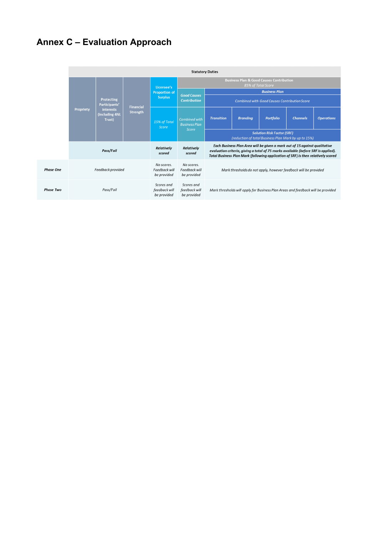## **Annex C – Evaluation Approach**

|                  | <b>Statutory Duties</b> |                                                                                   |                              |                                                      |                                                                                                  |                                                                                                                                                                                                                                                       |                 |           |                 |                   |
|------------------|-------------------------|-----------------------------------------------------------------------------------|------------------------------|------------------------------------------------------|--------------------------------------------------------------------------------------------------|-------------------------------------------------------------------------------------------------------------------------------------------------------------------------------------------------------------------------------------------------------|-----------------|-----------|-----------------|-------------------|
|                  |                         | Protecting<br>Participants'<br><b>interests</b><br><b>Including 4NL</b><br>Trust) | <b>Financial</b><br>Strength | Licensee's<br><b>Proportion of</b><br><b>Surplus</b> | <b>Business Plan &amp; Good Causes Contribution</b><br>85% of Total Score                        |                                                                                                                                                                                                                                                       |                 |           |                 |                   |
|                  |                         |                                                                                   |                              |                                                      |                                                                                                  | <b>Business Plan</b>                                                                                                                                                                                                                                  |                 |           |                 |                   |
|                  | Propriety               |                                                                                   |                              |                                                      | <b>Good Causes</b><br><b>Contribution</b><br><b>Combined with Good Causes Contribution Score</b> |                                                                                                                                                                                                                                                       |                 |           |                 |                   |
|                  |                         |                                                                                   |                              | 15% of Total<br>Score                                | Combined with<br><b>Business Plan</b><br><b>Score</b>                                            | <b>Transition</b>                                                                                                                                                                                                                                     | <b>Branding</b> | Portfolio | <b>Channels</b> | <b>Operations</b> |
|                  |                         |                                                                                   |                              |                                                      |                                                                                                  | <b>Solution Risk Factor (SRF)</b><br>(reduction of total Business Plan Mark by up to 15%)                                                                                                                                                             |                 |           |                 |                   |
|                  | Pass/Fail               |                                                                                   |                              | Relatively<br>scored                                 | Relatively<br>scored                                                                             | Each Business Plan Area will be given a mark out of 15 against qualitative<br>evaluation criteria, giving a total of 75 marks available (before SRF is applied).<br>Total Business Plan Mark (following application of SRF) is then relatively scored |                 |           |                 |                   |
| <b>Phase One</b> | Feedback provided       |                                                                                   |                              | No scores.<br>Feedback will<br>be provided           | No scores.<br>Feedback will<br>be provided                                                       | Mark thresholds do not apply, however feedback will be provided                                                                                                                                                                                       |                 |           |                 |                   |
| <b>Phase Two</b> | Pass/Fail               |                                                                                   |                              | Scores and<br>feedback will<br>be provided           | Scores and<br>feedback will<br>be provided                                                       | Mark thresholds will apply for Business Plan Areas and feedback will be provided                                                                                                                                                                      |                 |           |                 |                   |